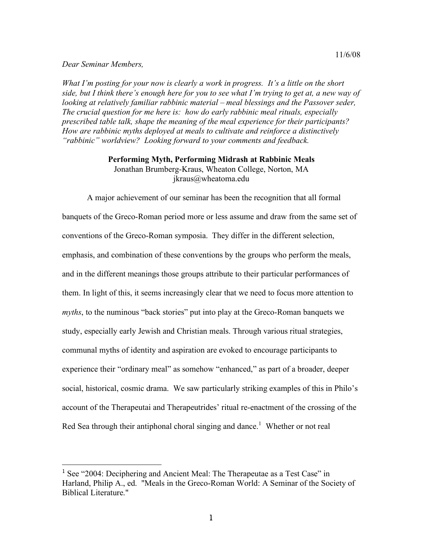## *Dear Seminar Members,*

*What I'm posting for your now is clearly a work in progress. It's a little on the short side, but I think there's enough here for you to see what I'm trying to get at, a new way of looking at relatively familiar rabbinic material – meal blessings and the Passover seder, The crucial question for me here is: how do early rabbinic meal rituals, especially prescribed table talk, shape the meaning of the meal experience for their participants? How are rabbinic myths deployed at meals to cultivate and reinforce a distinctively "rabbinic" worldview? Looking forward to your comments and feedback.*

## **Performing Myth, Performing Midrash at Rabbinic Meals** Jonathan Brumberg-Kraus, Wheaton College, Norton, MA jkraus@wheatoma.edu

A major achievement of our seminar has been the recognition that all formal banquets of the Greco-Roman period more or less assume and draw from the same set of conventions of the Greco-Roman symposia. They differ in the different selection, emphasis, and combination of these conventions by the groups who perform the meals, and in the different meanings those groups attribute to their particular performances of them. In light of this, it seems increasingly clear that we need to focus more attention to *myths*, to the numinous "back stories" put into play at the Greco-Roman banquets we study, especially early Jewish and Christian meals. Through various ritual strategies, communal myths of identity and aspiration are evoked to encourage participants to experience their "ordinary meal" as somehow "enhanced," as part of a broader, deeper social, historical, cosmic drama. We saw particularly striking examples of this in Philo's account of the Therapeutai and Therapeutrides' ritual re-enactment of the crossing of the Red Sea through their antiphonal choral singing and dance.<sup>1</sup> Whether or not real

<sup>&</sup>lt;sup>1</sup> See "2004: Deciphering and Ancient Meal: The Therapeutae as a Test Case" in Harland, Philip A., ed. "Meals in the Greco-Roman World: A Seminar of the Society of Biblical Literature."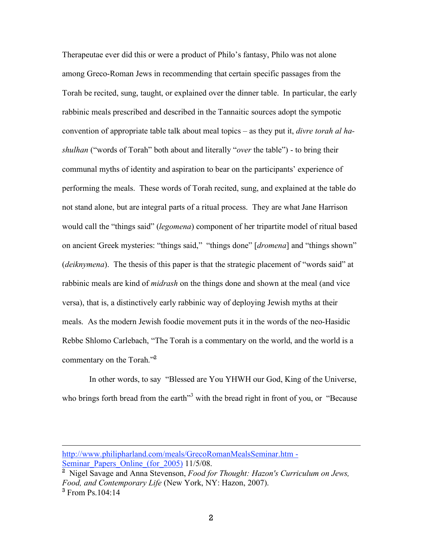Therapeutae ever did this or were a product of Philo's fantasy, Philo was not alone among Greco-Roman Jews in recommending that certain specific passages from the Torah be recited, sung, taught, or explained over the dinner table. In particular, the early rabbinic meals prescribed and described in the Tannaitic sources adopt the sympotic convention of appropriate table talk about meal topics – as they put it, *divre torah al hashulhan* ("words of Torah" both about and literally "*over* the table") - to bring their communal myths of identity and aspiration to bear on the participants' experience of performing the meals. These words of Torah recited, sung, and explained at the table do not stand alone, but are integral parts of a ritual process. They are what Jane Harrison would call the "things said" (*legomena*) component of her tripartite model of ritual based on ancient Greek mysteries: "things said," "things done" [*dromena*] and "things shown" (*deiknymena*). The thesis of this paper is that the strategic placement of "words said" at rabbinic meals are kind of *midrash* on the things done and shown at the meal (and vice versa), that is, a distinctively early rabbinic way of deploying Jewish myths at their meals. As the modern Jewish foodie movement puts it in the words of the neo-Hasidic Rebbe Shlomo Carlebach, "The Torah is a commentary on the world, and the world is a commentary on the Torah."<sup>2</sup>

In other words, to say "Blessed are You YHWH our God, King of the Universe, who brings forth bread from the earth<sup>33</sup> with the bread right in front of you, or "Because

 $\overline{a}$ 

http://www.philipharland.com/meals/GrecoRomanMealsSeminar.htm - Seminar Papers Online (for  $2005$ )  $11/5/08$ .

<sup>2</sup> Nigel Savage and Anna Stevenson, *Food for Thought: Hazon's Curriculum on Jews, Food, and Contemporary Life* (New York, NY: Hazon, 2007).  $3$  From Ps. 104:14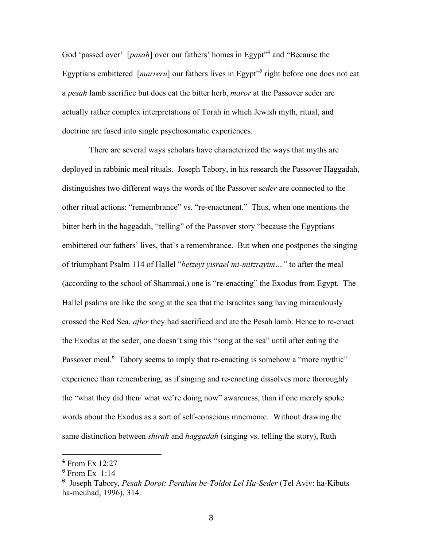God 'passed over' [*pasah*] over our fathers' homes in Egypt" <sup>4</sup> and "Because the Egyptians embittered [*marreru*] our fathers lives in Egypt<sup>1,5</sup> right before one does not eat a *pesah* lamb sacrifice but does eat the bitter herb, *maror* at the Passover seder are actually rather complex interpretations of Torah in which Jewish myth, ritual, and doctrine are fused into single psychosomatic experiences.

There are several ways scholars have characterized the ways that myths are deployed in rabbinic meal rituals. Joseph Tabory, in his research the Passover Haggadah, distinguishes two different ways the words of the Passover s*eder* are connected to the other ritual actions: "remembrance" vs. "re-enactment." Thus, when one mentions the bitter herb in the haggadah, "telling" of the Passover story "because the Egyptians embittered our fathers' lives, that's a remembrance. But when one postpones the singing of triumphant Psalm 114 of Hallel "*betzeyt yisrael mi-mitzrayim…"* to after the meal (according to the school of Shammai,) one is "re-enacting" the Exodus from Egypt. The Hallel psalms are like the song at the sea that the Israelites sang having miraculously crossed the Red Sea, *after* they had sacrificed and ate the Pesah lamb. Hence to re-enact the Exodus at the seder, one doesn't sing this "song at the sea" until after eating the Passover meal.<sup>6</sup> Tabory seems to imply that re-enacting is somehow a "more mythic" experience than remembering, as if singing and re-enacting dissolves more thoroughly the "what they did then/ what we're doing now" awareness, than if one merely spoke words about the Exodus as a sort of self-conscious mnemonic. Without drawing the same distinction between *shirah* and *haggadah* (singing vs. telling the story), Ruth

 <sup>4</sup> From Ex 12:27

 $<sup>5</sup>$  From Ex 1:14</sup>

<sup>6</sup> Joseph Tabory, *Pesah Dorot: Perakim be-Toldot Lel Ha-Seder* (Tel Aviv: ha-Kibuts ha-meuhad, 1996), 314.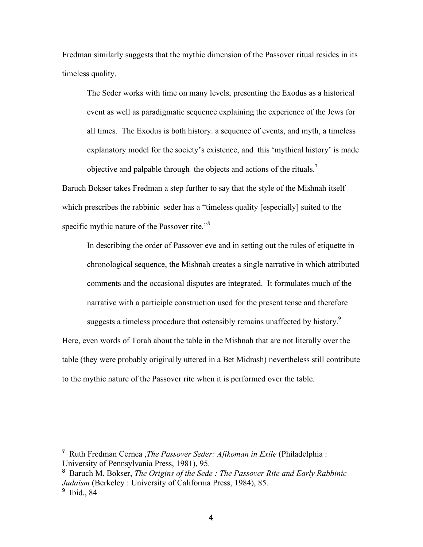Fredman similarly suggests that the mythic dimension of the Passover ritual resides in its timeless quality,

The Seder works with time on many levels, presenting the Exodus as a historical event as well as paradigmatic sequence explaining the experience of the Jews for all times. The Exodus is both history. a sequence of events, and myth, a timeless explanatory model for the society's existence, and this 'mythical history' is made objective and palpable through the objects and actions of the rituals.<sup>7</sup>

Baruch Bokser takes Fredman a step further to say that the style of the Mishnah itself which prescribes the rabbinic seder has a "timeless quality [especially] suited to the specific mythic nature of the Passover rite."<sup>8</sup>

In describing the order of Passover eve and in setting out the rules of etiquette in chronological sequence, the Mishnah creates a single narrative in which attributed comments and the occasional disputes are integrated. It formulates much of the narrative with a participle construction used for the present tense and therefore suggests a timeless procedure that ostensibly remains unaffected by history.<sup>9</sup>

Here, even words of Torah about the table in the Mishnah that are not literally over the table (they were probably originally uttered in a Bet Midrash) nevertheless still contribute to the mythic nature of the Passover rite when it is performed over the table.

 <sup>7</sup> Ruth Fredman Cernea ,*The Passover Seder: Afikoman in Exile* (Philadelphia : University of Pennsylvania Press, 1981), 95.

<sup>8</sup> Baruch M. Bokser, *The Origins of the Sede : The Passover Rite and Early Rabbinic Judaism* (Berkeley : University of California Press, 1984), 85.

<sup>&</sup>lt;sup>9</sup> Ibid., 84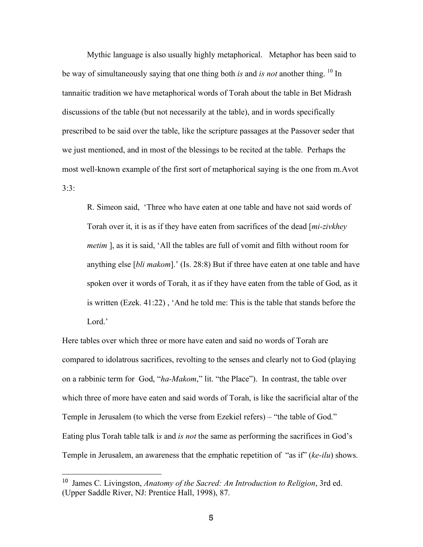Mythic language is also usually highly metaphorical. Metaphor has been said to be way of simultaneously saying that one thing both *is* and *is not* another thing. <sup>10</sup> In tannaitic tradition we have metaphorical words of Torah about the table in Bet Midrash discussions of the table (but not necessarily at the table), and in words specifically prescribed to be said over the table, like the scripture passages at the Passover seder that we just mentioned, and in most of the blessings to be recited at the table. Perhaps the most well-known example of the first sort of metaphorical saying is the one from m.Avot  $3:3:$ 

R. Simeon said, 'Three who have eaten at one table and have not said words of Torah over it, it is as if they have eaten from sacrifices of the dead [*mi-zivkhey metim* ], as it is said, 'All the tables are full of vomit and filth without room for anything else [*bli makom*].' (Is. 28:8) But if three have eaten at one table and have spoken over it words of Torah, it as if they have eaten from the table of God, as it is written (Ezek. 41:22) , 'And he told me: This is the table that stands before the Lord.'

Here tables over which three or more have eaten and said no words of Torah are compared to idolatrous sacrifices, revolting to the senses and clearly not to God (playing on a rabbinic term for God, "*ha-Makom*," lit. "the Place"). In contrast, the table over which three of more have eaten and said words of Torah, is like the sacrificial altar of the Temple in Jerusalem (to which the verse from Ezekiel refers) – "the table of God." Eating plus Torah table talk i*s* and *is not* the same as performing the sacrifices in God's Temple in Jerusalem, an awareness that the emphatic repetition of "as if" (*ke-ilu*) shows.

 <sup>10</sup> James C. Livingston, *Anatomy of the Sacred: An Introduction to Religion*, 3rd ed. (Upper Saddle River, NJ: Prentice Hall, 1998), 87.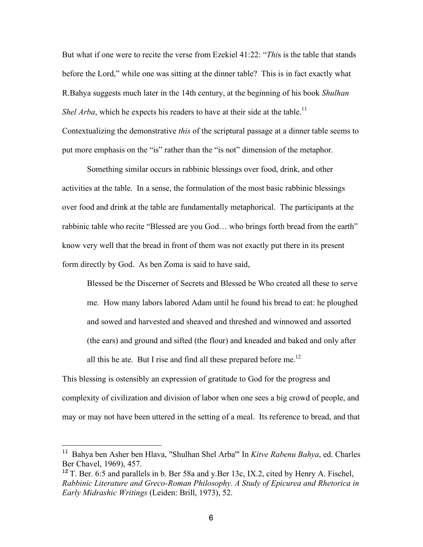But what if one were to recite the verse from Ezekiel 41:22: "*Thi*s is the table that stands before the Lord," while one was sitting at the dinner table? This is in fact exactly what R.Bahya suggests much later in the 14th century, at the beginning of his book *Shulhan Shel Arba*, which he expects his readers to have at their side at the table.<sup>11</sup> Contextualizing the demonstrative *this* of the scriptural passage at a dinner table seems to put more emphasis on the "is" rather than the "is not" dimension of the metaphor.

Something similar occurs in rabbinic blessings over food, drink, and other activities at the table. In a sense, the formulation of the most basic rabbinic blessings over food and drink at the table are fundamentally metaphorical. The participants at the rabbinic table who recite "Blessed are you God… who brings forth bread from the earth" know very well that the bread in front of them was not exactly put there in its present form directly by God. As ben Zoma is said to have said,

Blessed be the Discerner of Secrets and Blessed be Who created all these to serve me. How many labors labored Adam until he found his bread to eat: he ploughed and sowed and harvested and sheaved and threshed and winnowed and assorted (the ears) and ground and sifted (the flour) and kneaded and baked and only after all this he ate. But I rise and find all these prepared before me.<sup>12</sup>

This blessing is ostensibly an expression of gratitude to God for the progress and complexity of civilization and division of labor when one sees a big crowd of people, and may or may not have been uttered in the setting of a meal. Its reference to bread, and that

 <sup>11</sup> Bahya ben Asher ben Hlava, "Shulhan Shel Arba'" In *Kitve Rabenu Bahya*, ed. Charles Ber Chavel, 1969), 457.

<sup>&</sup>lt;sup>12</sup> T. Ber. 6:5 and parallels in b. Ber 58a and y.Ber 13c, IX.2, cited by Henry A. Fischel, *Rabbinic Literature and Greco-Roman Philosophy. A Study of Epicurea and Rhetorica in Early Midrashic Writings* (Leiden: Brill, 1973), 52.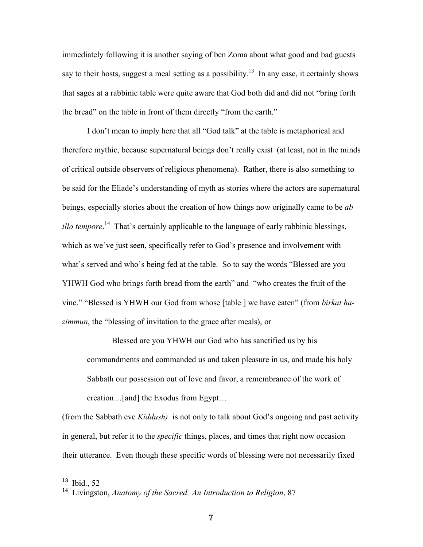immediately following it is another saying of ben Zoma about what good and bad guests say to their hosts, suggest a meal setting as a possibility.<sup>13</sup> In any case, it certainly shows that sages at a rabbinic table were quite aware that God both did and did not "bring forth the bread" on the table in front of them directly "from the earth."

I don't mean to imply here that all "God talk" at the table is metaphorical and therefore mythic, because supernatural beings don't really exist (at least, not in the minds of critical outside observers of religious phenomena). Rather, there is also something to be said for the Eliade's understanding of myth as stories where the actors are supernatural beings, especially stories about the creation of how things now originally came to be *ab illo tempore*. <sup>14</sup> That's certainly applicable to the language of early rabbinic blessings, which as we've just seen, specifically refer to God's presence and involvement with what's served and who's being fed at the table. So to say the words "Blessed are you YHWH God who brings forth bread from the earth" and "who creates the fruit of the vine," "Blessed is YHWH our God from whose [table ] we have eaten" (from *birkat hazimmun*, the "blessing of invitation to the grace after meals), or

Blessed are you YHWH our God who has sanctified us by his commandments and commanded us and taken pleasure in us, and made his holy Sabbath our possession out of love and favor, a remembrance of the work of creation…[and] the Exodus from Egypt…

(from the Sabbath eve *Kiddush)* is not only to talk about God's ongoing and past activity in general, but refer it to the *specific* things, places, and times that right now occasion their utterance. Even though these specific words of blessing were not necessarily fixed

<sup>&</sup>lt;sup>13</sup> Ibid., 52

<sup>14</sup> Livingston, *Anatomy of the Sacred: An Introduction to Religion*, 87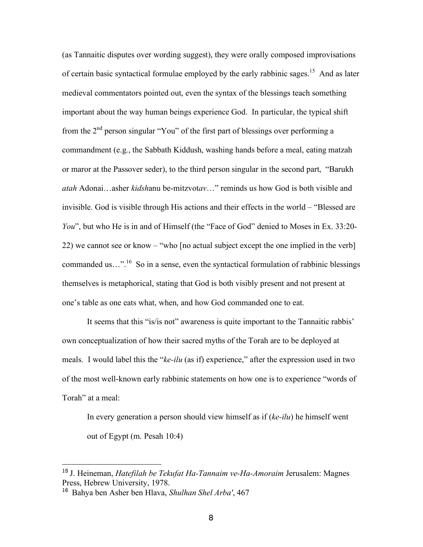(as Tannaitic disputes over wording suggest), they were orally composed improvisations of certain basic syntactical formulae employed by the early rabbinic sages.<sup>15</sup> And as later medieval commentators pointed out, even the syntax of the blessings teach something important about the way human beings experience God. In particular, the typical shift from the  $2<sup>nd</sup>$  person singular "You" of the first part of blessings over performing a commandment (e.g., the Sabbath Kiddush, washing hands before a meal, eating matzah or maror at the Passover seder), to the third person singular in the second part, "Barukh *atah* Adonai…asher *kidsh*anu be-mitzvot*av*…" reminds us how God is both visible and invisible. God is visible through His actions and their effects in the world – "Blessed are *You*", but who He is in and of Himself (the "Face of God" denied to Moses in Ex. 33:20-22) we cannot see or know – "who [no actual subject except the one implied in the verb] commanded us...".<sup>16</sup> So in a sense, even the syntactical formulation of rabbinic blessings themselves is metaphorical, stating that God is both visibly present and not present at one's table as one eats what, when, and how God commanded one to eat.

It seems that this "is/is not" awareness is quite important to the Tannaitic rabbis' own conceptualization of how their sacred myths of the Torah are to be deployed at meals. I would label this the "*ke-ilu* (as if) experience," after the expression used in two of the most well-known early rabbinic statements on how one is to experience "words of Torah" at a meal:

In every generation a person should view himself as if (*ke-ilu*) he himself went out of Egypt (m. Pesah 10:4)

 <sup>15</sup> J. Heineman, *Hatefilah be Tekufat Ha-Tannaim ve-Ha-Amoraim* Jerusalem: Magnes Press, Hebrew University, 1978.

<sup>16</sup> Bahya ben Asher ben Hlava, *Shulhan Shel Arba'*, 467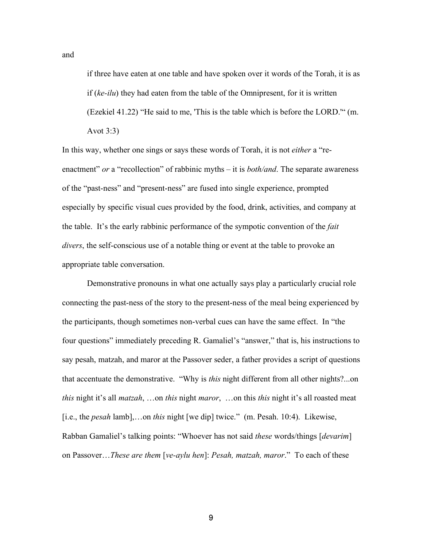if three have eaten at one table and have spoken over it words of the Torah, it is as if (*ke-ilu*) they had eaten from the table of the Omnipresent, for it is written (Ezekiel 41.22) "He said to me, 'This is the table which is before the LORD.'" (m. Avot 3:3)

In this way, whether one sings or says these words of Torah, it is not *either* a "reenactment" *or* a "recollection" of rabbinic myths – it is *both/and*. The separate awareness of the "past-ness" and "present-ness" are fused into single experience, prompted especially by specific visual cues provided by the food, drink, activities, and company at the table. It's the early rabbinic performance of the sympotic convention of the *fait divers*, the self-conscious use of a notable thing or event at the table to provoke an appropriate table conversation.

Demonstrative pronouns in what one actually says play a particularly crucial role connecting the past-ness of the story to the present-ness of the meal being experienced by the participants, though sometimes non-verbal cues can have the same effect. In "the four questions" immediately preceding R. Gamaliel's "answer," that is, his instructions to say pesah, matzah, and maror at the Passover seder, a father provides a script of questions that accentuate the demonstrative. "Why is *this* night different from all other nights?...on *this* night it's all *matzah*, …on *this* night *maror*, …on this *this* night it's all roasted meat [i.e., the *pesah* lamb],…on *this* night [we dip] twice." (m. Pesah. 10:4). Likewise, Rabban Gamaliel's talking points: "Whoever has not said *these* words/things [*devarim*] on Passover…*These are them* [*ve-aylu hen*]: *Pesah, matzah, maror*." To each of these

and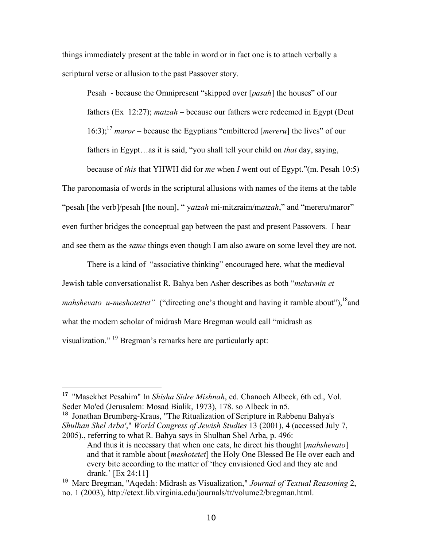things immediately present at the table in word or in fact one is to attach verbally a scriptural verse or allusion to the past Passover story.

Pesah - because the Omnipresent "skipped over [*pasah*] the houses" of our fathers (Ex 12:27); *matzah* – because our fathers were redeemed in Egypt (Deut 16:3); 17 *maror* – because the Egyptians "embittered [*mereru*] the lives" of our fathers in Egypt…as it is said, "you shall tell your child on *that* day, saying,

because of *this* that YHWH did for *me* when *I* went out of Egypt."(m. Pesah 10:5) The paronomasia of words in the scriptural allusions with names of the items at the table "pesah [the verb]/pesah [the noun], " y*atzah* mi-mitzraim/m*atzah*," and "mereru/maror" even further bridges the conceptual gap between the past and present Passovers. I hear and see them as the *same* things even though I am also aware on some level they are not.

There is a kind of "associative thinking" encouraged here, what the medieval Jewish table conversationalist R. Bahya ben Asher describes as both "*mekavnin et mahshevato u-meshotettet*" ("directing one's thought and having it ramble about"), <sup>18</sup> and what the modern scholar of midrash Marc Bregman would call "midrash as visualization." <sup>19</sup> Bregman's remarks here are particularly apt:

<sup>18</sup> Jonathan Brumberg-Kraus, "The Ritualization of Scripture in Rabbenu Bahya's *Shulhan Shel Arba'*," *World Congress of Jewish Studies* 13 (2001), 4 (accessed July 7, 2005)., referring to what R. Bahya says in Shulhan Shel Arba, p. 496:

 <sup>17</sup> "Masekhet Pesahim" In *Shisha Sidre Mishnah*, ed. Chanoch Albeck, 6th ed., Vol. Seder Mo'ed (Jerusalem: Mosad Bialik, 1973), 178. so Albeck in n5.

And thus it is necessary that when one eats, he direct his thought [*mahshevato*] and that it ramble about [*meshotetet*] the Holy One Blessed Be He over each and every bite according to the matter of 'they envisioned God and they ate and drank.' [Ex 24:11]

<sup>19</sup> Marc Bregman, "Aqedah: Midrash as Visualization," *Journal of Textual Reasoning* 2, no. 1 (2003), http://etext.lib.virginia.edu/journals/tr/volume2/bregman.html.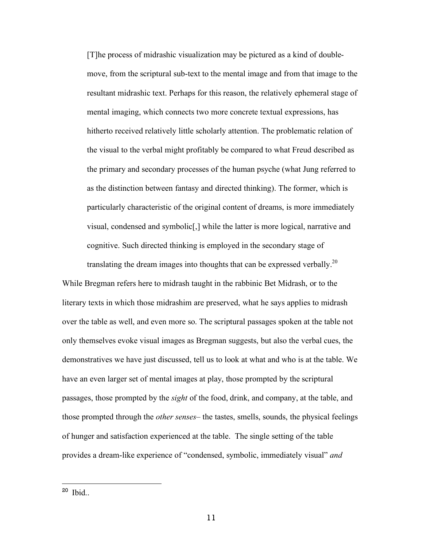[T]he process of midrashic visualization may be pictured as a kind of doublemove, from the scriptural sub-text to the mental image and from that image to the resultant midrashic text. Perhaps for this reason, the relatively ephemeral stage of mental imaging, which connects two more concrete textual expressions, has hitherto received relatively little scholarly attention. The problematic relation of the visual to the verbal might profitably be compared to what Freud described as the primary and secondary processes of the human psyche (what Jung referred to as the distinction between fantasy and directed thinking). The former, which is particularly characteristic of the original content of dreams, is more immediately visual, condensed and symbolic[,] while the latter is more logical, narrative and cognitive. Such directed thinking is employed in the secondary stage of

translating the dream images into thoughts that can be expressed verbally.<sup>20</sup> While Bregman refers here to midrash taught in the rabbinic Bet Midrash, or to the literary texts in which those midrashim are preserved, what he says applies to midrash over the table as well, and even more so. The scriptural passages spoken at the table not only themselves evoke visual images as Bregman suggests, but also the verbal cues, the demonstratives we have just discussed, tell us to look at what and who is at the table. We have an even larger set of mental images at play, those prompted by the scriptural passages, those prompted by the *sight* of the food, drink, and company, at the table, and those prompted through the *other senses*– the tastes, smells, sounds, the physical feelings of hunger and satisfaction experienced at the table. The single setting of the table provides a dream-like experience of "condensed, symbolic, immediately visual" *and* 

 <sup>20</sup> Ibid..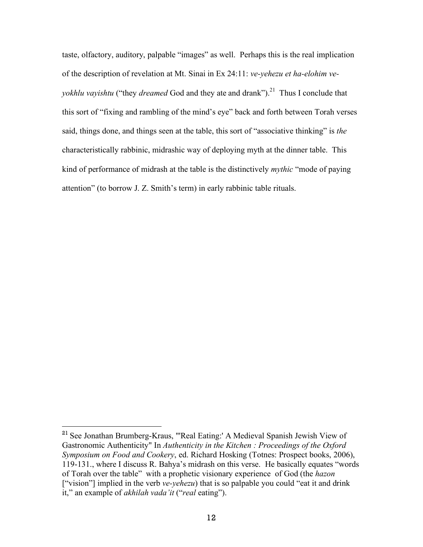taste, olfactory, auditory, palpable "images" as well. Perhaps this is the real implication of the description of revelation at Mt. Sinai in Ex 24:11: *ve-yehezu et ha-elohim veyokhlu vayishtu* ("they *dreamed* God and they ate and drank"). <sup>21</sup> Thus I conclude that this sort of "fixing and rambling of the mind's eye" back and forth between Torah verses said, things done, and things seen at the table, this sort of "associative thinking" is *the* characteristically rabbinic, midrashic way of deploying myth at the dinner table. This kind of performance of midrash at the table is the distinctively *mythic* "mode of paying attention" (to borrow J. Z. Smith's term) in early rabbinic table rituals.

 <sup>21</sup> See Jonathan Brumberg-Kraus, "'Real Eating:' A Medieval Spanish Jewish View of Gastronomic Authenticity" In *Authenticity in the Kitchen : Proceedings of the Oxford Symposium on Food and Cookery*, ed. Richard Hosking (Totnes: Prospect books, 2006), 119-131., where I discuss R. Bahya's midrash on this verse. He basically equates "words of Torah over the table" with a prophetic visionary experience of God (the *hazon* ["vision"] implied in the verb *ve-yehezu*) that is so palpable you could "eat it and drink" it," an example of *akhilah vada'it* ("*real* eating").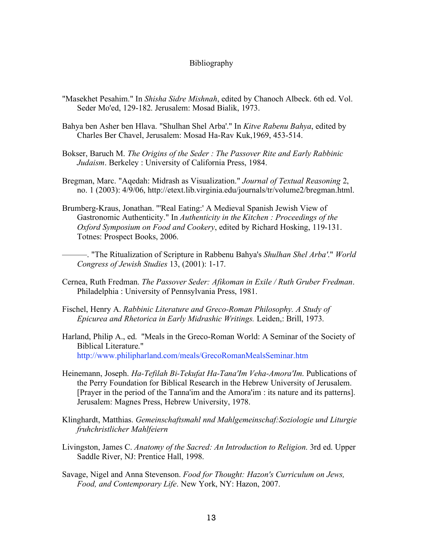## Bibliography

- "Masekhet Pesahim." In *Shisha Sidre Mishnah*, edited by Chanoch Albeck. 6th ed. Vol. Seder Mo'ed, 129-182. Jerusalem: Mosad Bialik, 1973.
- Bahya ben Asher ben Hlava. "Shulhan Shel Arba'." In *Kitve Rabenu Bahya*, edited by Charles Ber Chavel, Jerusalem: Mosad Ha-Rav Kuk,1969, 453-514.
- Bokser, Baruch M. *The Origins of the Seder : The Passover Rite and Early Rabbinic Judaism*. Berkeley : University of California Press, 1984.
- Bregman, Marc. "Aqedah: Midrash as Visualization." *Journal of Textual Reasoning* 2, no. 1 (2003): 4/9/06, http://etext.lib.virginia.edu/journals/tr/volume2/bregman.html.
- Brumberg-Kraus, Jonathan. "'Real Eating:' A Medieval Spanish Jewish View of Gastronomic Authenticity." In *Authenticity in the Kitchen : Proceedings of the Oxford Symposium on Food and Cookery*, edited by Richard Hosking, 119-131. Totnes: Prospect Books, 2006.

———. "The Ritualization of Scripture in Rabbenu Bahya's *Shulhan Shel Arba'*." *World Congress of Jewish Studies* 13, (2001): 1-17.

- Cernea, Ruth Fredman. *The Passover Seder: Afikoman in Exile / Ruth Gruber Fredman*. Philadelphia : University of Pennsylvania Press, 1981.
- Fischel, Henry A. *Rabbinic Literature and Greco-Roman Philosophy. A Study of Epicurea and Rhetorica in Early Midrashic Writings.* Leiden,: Brill, 1973.
- Harland, Philip A., ed. "Meals in the Greco-Roman World: A Seminar of the Society of Biblical Literature." http://www.philipharland.com/meals/GrecoRomanMealsSeminar.htm
- Heinemann, Joseph. *Ha-Tefilah Bi-Tekufat Ha-Tana'Im Veha-Amora'Im*. Publications of the Perry Foundation for Biblical Research in the Hebrew University of Jerusalem. [Prayer in the period of the Tanna'im and the Amora'im : its nature and its patterns]. Jerusalem: Magnes Press, Hebrew University, 1978.
- Klinghardt, Matthias. *Gemeinschaftsmahl nnd Mahlgemeinschaf:Soziologie und Liturgie fruhchristlicher Mahlfeiern*
- Livingston, James C. *Anatomy of the Sacred: An Introduction to Religion*. 3rd ed. Upper Saddle River, NJ: Prentice Hall, 1998.
- Savage, Nigel and Anna Stevenson. *Food for Thought: Hazon's Curriculum on Jews, Food, and Contemporary Life*. New York, NY: Hazon, 2007.